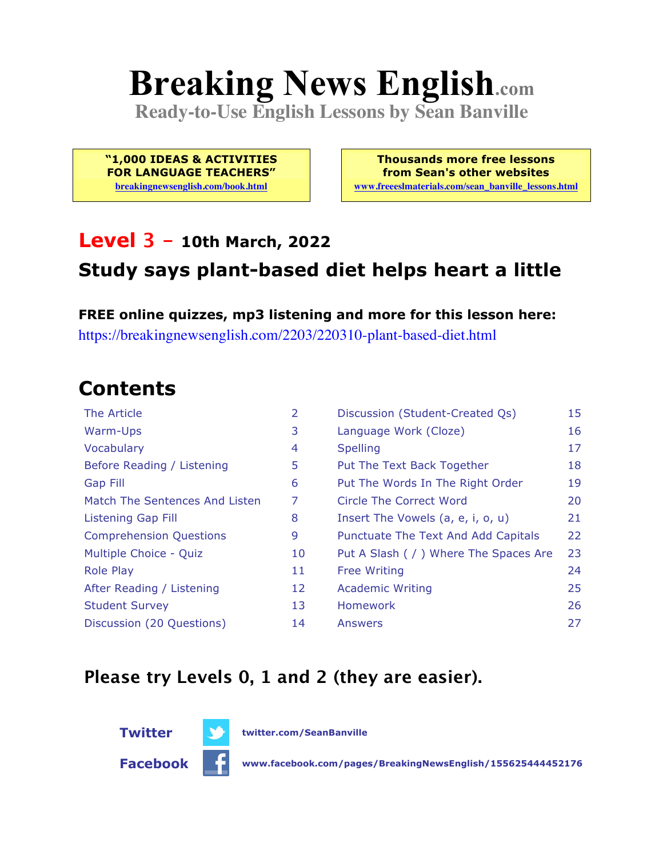# **Breaking News English.com**

**Ready-to-Use English Lessons by Sean Banville**

**"1,000 IDEAS & ACTIVITIES FOR LANGUAGE TEACHERS"**

**breakingnewsenglish.com/book.html**

**Thousands more free lessons from Sean's other websites www.freeeslmaterials.com/sean\_banville\_lessons.html**

#### **Level 3 - 10th March, 2022**

### **Study says plant-based diet helps heart a little**

**FREE online quizzes, mp3 listening and more for this lesson here:** https://breakingnewsenglish.com/2203/220310-plant-based-diet.html

### **Contents**

| The Article                    | 2  | Discussion (Student-Created Qs)        | 15 |
|--------------------------------|----|----------------------------------------|----|
| Warm-Ups                       | 3  | Language Work (Cloze)                  | 16 |
| Vocabulary                     | 4  | <b>Spelling</b>                        | 17 |
| Before Reading / Listening     | 5  | Put The Text Back Together             | 18 |
| <b>Gap Fill</b>                | 6  | Put The Words In The Right Order       | 19 |
| Match The Sentences And Listen | 7  | Circle The Correct Word                | 20 |
| <b>Listening Gap Fill</b>      | 8  | Insert The Vowels (a, e, i, o, u)      | 21 |
| <b>Comprehension Questions</b> | 9  | Punctuate The Text And Add Capitals    | 22 |
| Multiple Choice - Quiz         | 10 | Put A Slash ( / ) Where The Spaces Are | 23 |
| <b>Role Play</b>               | 11 | <b>Free Writing</b>                    | 24 |
| After Reading / Listening      | 12 | <b>Academic Writing</b>                | 25 |
| <b>Student Survey</b>          | 13 | <b>Homework</b>                        | 26 |
| Discussion (20 Questions)      | 14 | Answers                                | 27 |

#### **Please try Levels 0, 1 and 2 (they are easier).**



**Twitter twitter.com/SeanBanville**

**Facebook www.facebook.com/pages/BreakingNewsEnglish/155625444452176**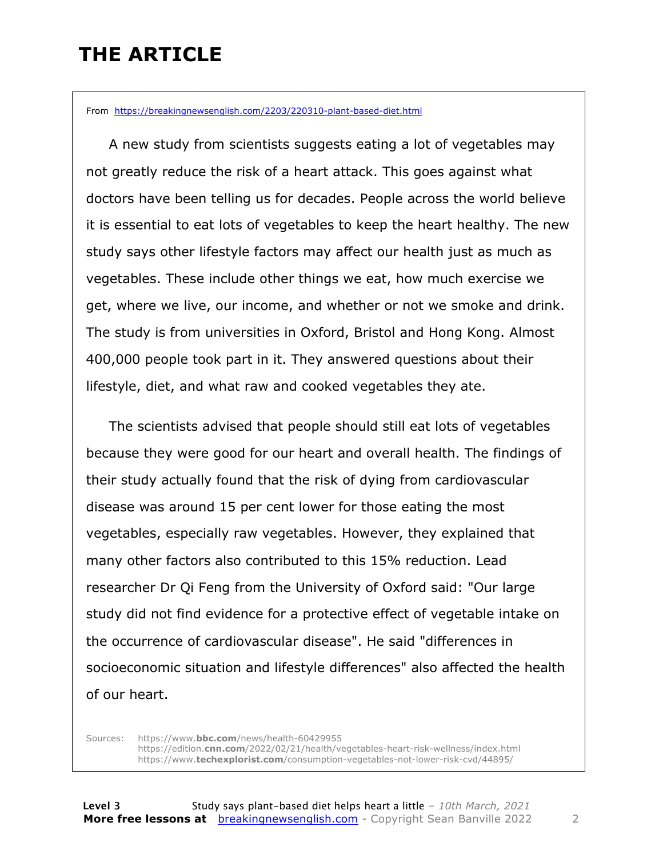### **THE ARTICLE**

From https://breakingnewsenglish.com/2203/220310-plant-based-diet.html

 A new study from scientists suggests eating a lot of vegetables may not greatly reduce the risk of a heart attack. This goes against what doctors have been telling us for decades. People across the world believe it is essential to eat lots of vegetables to keep the heart healthy. The new study says other lifestyle factors may affect our health just as much as vegetables. These include other things we eat, how much exercise we get, where we live, our income, and whether or not we smoke and drink. The study is from universities in Oxford, Bristol and Hong Kong. Almost 400,000 people took part in it. They answered questions about their lifestyle, diet, and what raw and cooked vegetables they ate.

 The scientists advised that people should still eat lots of vegetables because they were good for our heart and overall health. The findings of their study actually found that the risk of dying from cardiovascular disease was around 15 per cent lower for those eating the most vegetables, especially raw vegetables. However, they explained that many other factors also contributed to this 15% reduction. Lead researcher Dr Qi Feng from the University of Oxford said: "Our large study did not find evidence for a protective effect of vegetable intake on the occurrence of cardiovascular disease". He said "differences in socioeconomic situation and lifestyle differences" also affected the health of our heart.

Sources: https://www.**bbc.com**/news/health-60429955 https://edition.**cnn.com**/2022/02/21/health/vegetables-heart-risk-wellness/index.html https://www.**techexplorist.com**/consumption-vegetables-not-lower-risk-cvd/44895/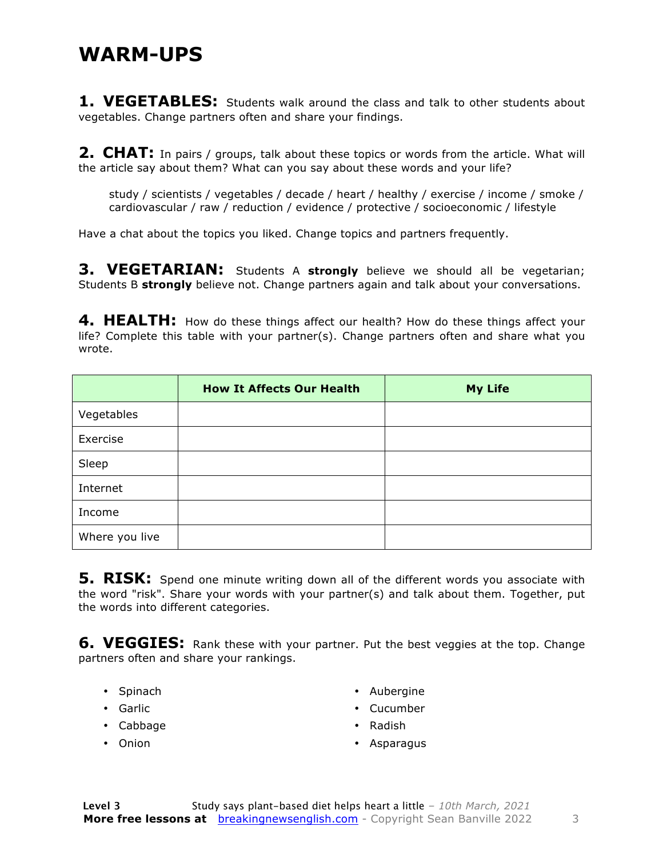#### **WARM-UPS**

**1. VEGETABLES:** Students walk around the class and talk to other students about vegetables. Change partners often and share your findings.

**2. CHAT:** In pairs / groups, talk about these topics or words from the article. What will the article say about them? What can you say about these words and your life?

study / scientists / vegetables / decade / heart / healthy / exercise / income / smoke / cardiovascular / raw / reduction / evidence / protective / socioeconomic / lifestyle

Have a chat about the topics you liked. Change topics and partners frequently.

**3. VEGETARIAN:** Students A **strongly** believe we should all be vegetarian; Students B **strongly** believe not. Change partners again and talk about your conversations.

**4. HEALTH:** How do these things affect our health? How do these things affect your life? Complete this table with your partner(s). Change partners often and share what you wrote.

|                | <b>How It Affects Our Health</b> | <b>My Life</b> |
|----------------|----------------------------------|----------------|
| Vegetables     |                                  |                |
| Exercise       |                                  |                |
| Sleep          |                                  |                |
| Internet       |                                  |                |
| Income         |                                  |                |
| Where you live |                                  |                |

**5. RISK:** Spend one minute writing down all of the different words you associate with the word "risk". Share your words with your partner(s) and talk about them. Together, put the words into different categories.

**6. VEGGIES:** Rank these with your partner. Put the best veggies at the top. Change partners often and share your rankings.

- Spinach
- Garlic
- Cabbage
- Onion
- Aubergine
- Cucumber
- Radish
- Asparagus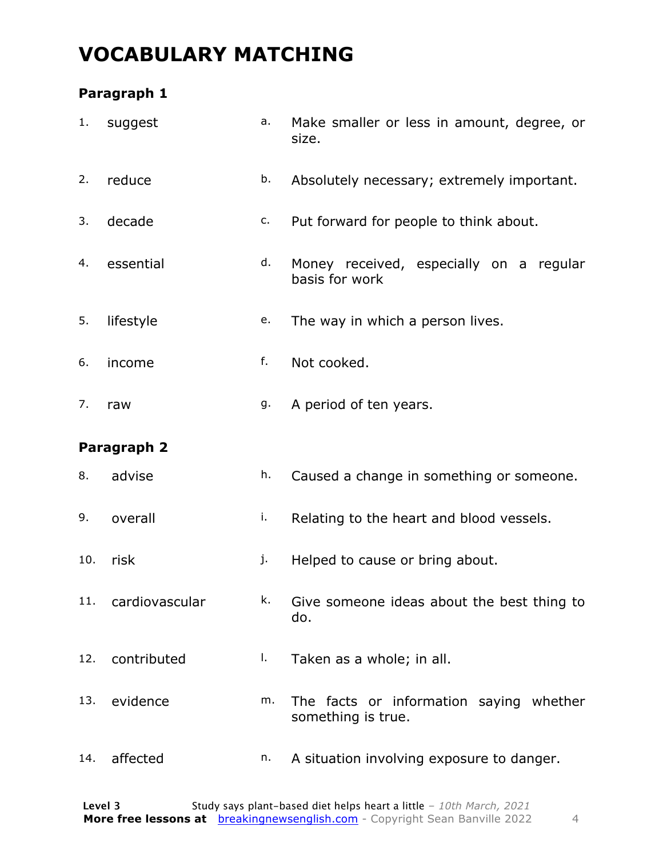### **VOCABULARY MATCHING**

#### **Paragraph 1**

| 1.  | suggest            | a. | Make smaller or less in amount, degree, or<br>size.           |
|-----|--------------------|----|---------------------------------------------------------------|
| 2.  | reduce             | b. | Absolutely necessary; extremely important.                    |
| 3.  | decade             | c. | Put forward for people to think about.                        |
| 4.  | essential          | d. | Money received, especially on a regular<br>basis for work     |
| 5.  | lifestyle          | e. | The way in which a person lives.                              |
| 6.  | income             | f. | Not cooked.                                                   |
| 7.  | raw                | g. | A period of ten years.                                        |
|     | Paragraph 2        |    |                                                               |
| 8.  | advise             | h. | Caused a change in something or someone.                      |
| 9.  | overall            | i. | Relating to the heart and blood vessels.                      |
| 10. | risk               | j. | Helped to cause or bring about.                               |
|     | 11. cardiovascular | k. | Give someone ideas about the best thing to<br>do.             |
| 12. | contributed        | Ι. | Taken as a whole; in all.                                     |
| 13. | evidence           | m. | The facts or information saying whether<br>something is true. |
|     |                    |    |                                                               |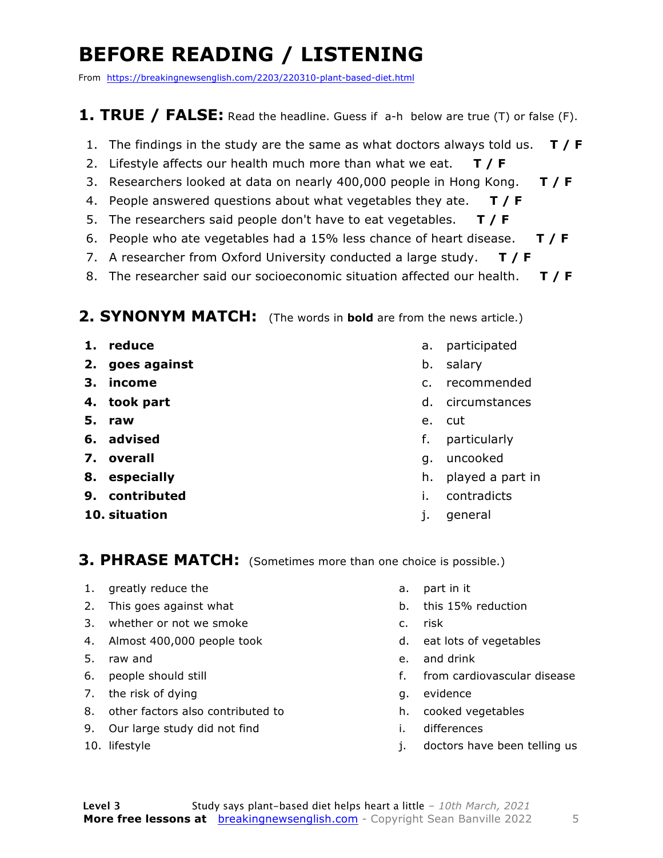### **BEFORE READING / LISTENING**

From https://breakingnewsenglish.com/2203/220310-plant-based-diet.html

#### **1. TRUE / FALSE:** Read the headline. Guess if a-h below are true (T) or false (F).

- 1. The findings in the study are the same as what doctors always told us. **T / F**
- 2. Lifestyle affects our health much more than what we eat. **T / F**
- 3. Researchers looked at data on nearly 400,000 people in Hong Kong. **T / F**
- 4. People answered questions about what vegetables they ate. **T / F**
- 5. The researchers said people don't have to eat vegetables. **T / F**
- 6. People who ate vegetables had a 15% less chance of heart disease. **T / F**
- 7. A researcher from Oxford University conducted a large study. **T / F**
- 8. The researcher said our socioeconomic situation affected our health. **T / F**

#### **2. SYNONYM MATCH:** (The words in **bold** are from the news article.)

- **1. reduce**
- **2. goes against**
- **3. income**
- **4. took part**
- **5. raw**
- **6. advised**
- **7. overall**
- **8. especially**
- **9. contributed**
- **10. situation**
- a. participated
- b. salary
- c. recommended
- d. circumstances
- e. cut
- f. particularly
- g. uncooked
- h. played a part in
- i. contradicts
- j. general

#### **3. PHRASE MATCH:** (Sometimes more than one choice is possible.)

- 1. greatly reduce the
- 2. This goes against what
- 3. whether or not we smoke
- 4. Almost 400,000 people took
- 5. raw and
- 6. people should still
- 7. the risk of dying
- 8. other factors also contributed to
- 9. Our large study did not find
- 10. lifestyle
- a. part in it
- b. this 15% reduction
- c. risk
- d. eat lots of vegetables
- e. and drink
- f. from cardiovascular disease
- g. evidence
- h. cooked vegetables
- i. differences
- j. doctors have been telling us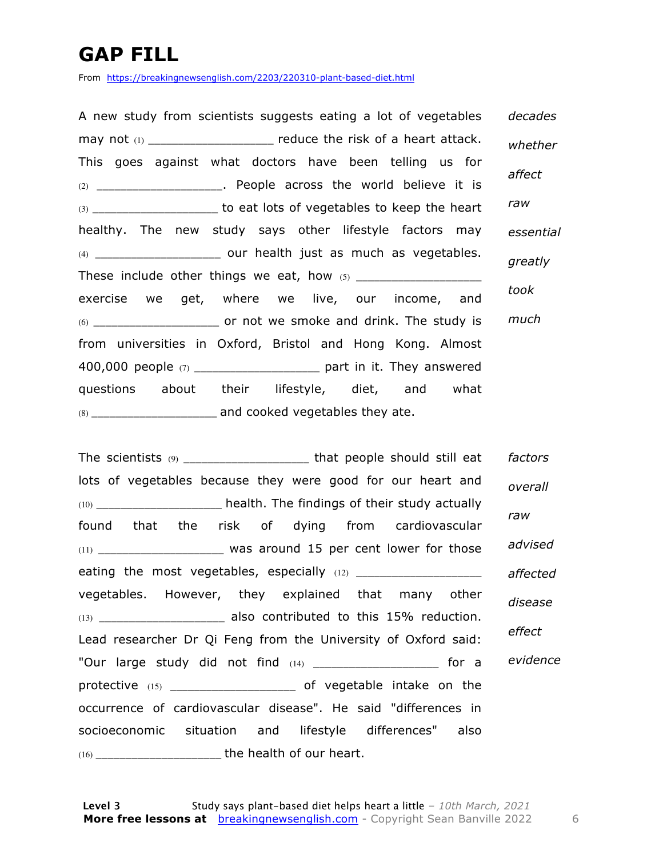### **GAP FILL**

From https://breakingnewsenglish.com/2203/220310-plant-based-diet.html

A new study from scientists suggests eating a lot of vegetables may not  $(1)$  and  $(2)$  reduce the risk of a heart attack. This goes against what doctors have been telling us for (2) \_\_\_\_\_\_\_\_\_\_\_\_\_\_\_\_\_\_\_\_\_. People across the world believe it is  $(3)$  \_\_\_\_\_\_\_\_\_\_\_\_\_\_\_\_\_\_\_\_\_\_\_\_\_ to eat lots of vegetables to keep the heart healthy. The new study says other lifestyle factors may (4) \_\_\_\_\_\_\_\_\_\_\_\_\_\_\_\_\_\_\_\_\_ our health just as much as vegetables. These include other things we eat, how (5) \_\_\_\_\_\_\_\_\_\_\_\_\_\_\_\_\_\_\_\_\_ exercise we get, where we live, our income, and (6) \_\_\_\_\_\_\_\_\_\_\_\_\_\_\_\_\_\_\_\_\_ or not we smoke and drink. The study is from universities in Oxford, Bristol and Hong Kong. Almost 400,000 people  $(7)$  \_\_\_\_\_\_\_\_\_\_\_\_\_\_\_\_\_\_\_\_\_\_ part in it. They answered questions about their lifestyle, diet, and what (8) \_\_\_\_\_\_\_\_\_\_\_\_\_\_\_\_\_\_\_\_\_ and cooked vegetables they ate. *decades whether affect raw essential greatly took much*

The scientists (9) \_\_\_\_\_\_\_\_\_\_\_\_\_\_\_\_\_\_\_\_\_\_\_\_\_ that people should still eat lots of vegetables because they were good for our heart and (10) \_\_\_\_\_\_\_\_\_\_\_\_\_\_\_\_\_\_\_\_\_ health. The findings of their study actually found that the risk of dying from cardiovascular  $(11)$  \_\_\_\_\_\_\_\_\_\_\_\_\_\_\_\_\_\_\_\_\_\_\_\_ was around 15 per cent lower for those eating the most vegetables, especially  $(12)$  \_\_\_\_\_\_\_\_\_\_\_\_\_\_\_\_\_\_\_\_ vegetables. However, they explained that many other (13) \_\_\_\_\_\_\_\_\_\_\_\_\_\_\_\_\_\_\_\_\_ also contributed to this 15% reduction. Lead researcher Dr Qi Feng from the University of Oxford said: "Our large study did not find  $(14)$  and  $(14)$  for a protective (15) \_\_\_\_\_\_\_\_\_\_\_\_\_\_\_\_\_\_\_\_\_\_\_\_\_\_\_\_ of vegetable intake on the occurrence of cardiovascular disease". He said "differences in socioeconomic situation and lifestyle differences" also (16) \_\_\_\_\_\_\_\_\_\_\_\_\_\_\_\_\_\_\_\_\_ the health of our heart. *factors overall raw advised affected disease effect evidence*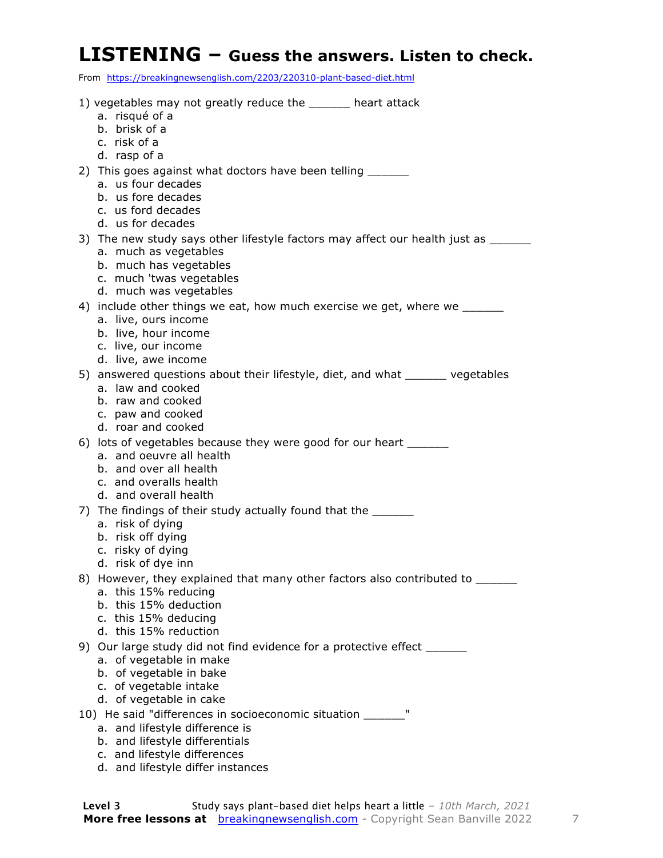#### **LISTENING – Guess the answers. Listen to check.**

From https://breakingnewsenglish.com/2203/220310-plant-based-diet.html

| 1) vegetables may not greatly reduce the ______ heart attack                                                |
|-------------------------------------------------------------------------------------------------------------|
| a. risqué of a                                                                                              |
| b. brisk of a                                                                                               |
| c. risk of a<br>d. rasp of a                                                                                |
| 2) This goes against what doctors have been telling _______                                                 |
| a. us four decades                                                                                          |
| b. us fore decades                                                                                          |
| c. us ford decades                                                                                          |
| d. us for decades                                                                                           |
| 3) The new study says other lifestyle factors may affect our health just as ______<br>a. much as vegetables |
| b. much has vegetables                                                                                      |
| c. much 'twas vegetables                                                                                    |
| d. much was vegetables                                                                                      |
| 4) include other things we eat, how much exercise we get, where we                                          |
| a. live, ours income                                                                                        |
| b. live, hour income<br>c. live, our income                                                                 |
| d. live, awe income                                                                                         |
| 5) answered questions about their lifestyle, diet, and what ______ vegetables                               |
| a. law and cooked                                                                                           |
| b. raw and cooked                                                                                           |
| c. paw and cooked<br>d. roar and cooked                                                                     |
| 6) lots of vegetables because they were good for our heart ________                                         |
| a. and oeuvre all health                                                                                    |
| b. and over all health                                                                                      |
| c. and overalls health                                                                                      |
| d. and overall health                                                                                       |
| 7) The findings of their study actually found that the ______                                               |
| a. risk of dying<br>b. risk off dying                                                                       |
| c. risky of dying                                                                                           |
| d. risk of dye inn                                                                                          |
| 8) However, they explained that many other factors also contributed to ______                               |
| a. this 15% reducing                                                                                        |
| b. this 15% deduction<br>c. this 15% deducing                                                               |
| d. this 15% reduction                                                                                       |
| 9) Our large study did not find evidence for a protective effect ______                                     |
| a. of vegetable in make                                                                                     |
| b. of vegetable in bake                                                                                     |
| c. of vegetable intake                                                                                      |
| d. of vegetable in cake                                                                                     |
| 10) He said "differences in socioeconomic situation ______"<br>a. and lifestyle difference is               |
| b. and lifestyle differentials                                                                              |
| c. and lifestyle differences                                                                                |

d. and lifestyle differ instances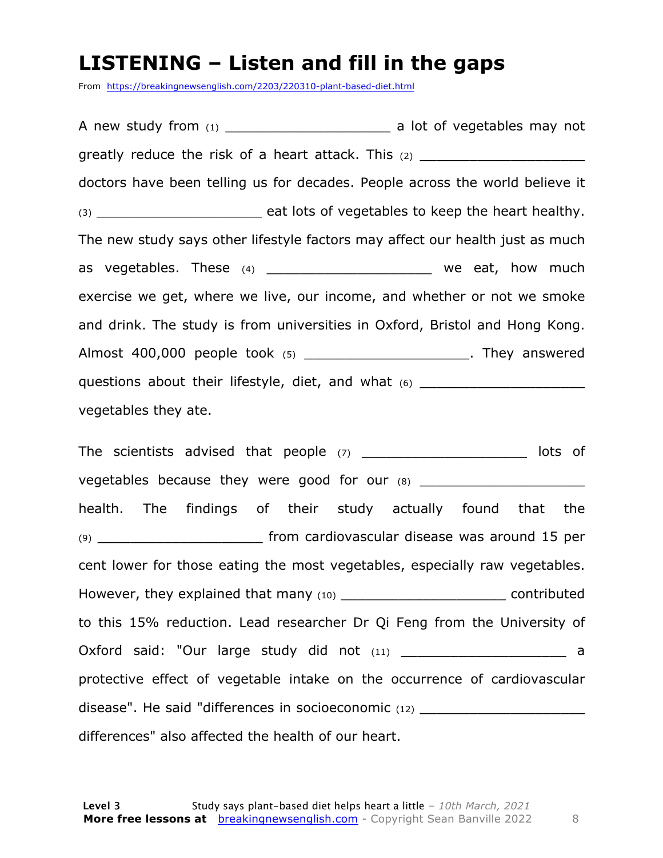#### **LISTENING – Listen and fill in the gaps**

From https://breakingnewsenglish.com/2203/220310-plant-based-diet.html

A new study from (1) \_\_\_\_\_\_\_\_\_\_\_\_\_\_\_\_\_\_\_\_ a lot of vegetables may not greatly reduce the risk of a heart attack. This  $(2)$  \_\_\_\_\_\_\_\_\_\_\_\_\_\_\_\_\_\_\_\_\_\_\_\_\_\_\_ doctors have been telling us for decades. People across the world believe it (3) \_\_\_\_\_\_\_\_\_\_\_\_\_\_\_\_\_\_\_\_ eat lots of vegetables to keep the heart healthy. The new study says other lifestyle factors may affect our health just as much as vegetables. These  $(4)$  \_\_\_\_\_\_\_\_\_\_\_\_\_\_\_\_\_\_\_\_\_\_\_\_ we eat, how much exercise we get, where we live, our income, and whether or not we smoke and drink. The study is from universities in Oxford, Bristol and Hong Kong. Almost 400,000 people took (5) \_\_\_\_\_\_\_\_\_\_\_\_\_\_\_\_\_\_\_\_. They answered questions about their lifestyle, diet, and what (6) \_\_\_\_\_\_\_\_\_\_\_\_\_\_\_\_\_\_\_\_\_\_\_\_\_\_\_\_ vegetables they ate.

The scientists advised that people (7) \_\_\_\_\_\_\_\_\_\_\_\_\_\_\_\_\_\_\_\_\_\_\_ lots of vegetables because they were good for our (8) \_\_\_\_\_\_\_\_\_\_\_\_\_\_\_\_\_\_\_\_\_\_\_\_\_\_\_\_\_\_\_\_\_\_ health. The findings of their study actually found that the (9) **The Community of Separate Street in the Community** of the from cardiovascular disease was around 15 per cent lower for those eating the most vegetables, especially raw vegetables. However, they explained that many (10) \_\_\_\_\_\_\_\_\_\_\_\_\_\_\_\_\_\_\_\_\_\_\_\_\_\_\_\_\_\_ contributed to this 15% reduction. Lead researcher Dr Qi Feng from the University of Oxford said: "Our large study did not (11) \_\_\_\_\_\_\_\_\_\_\_\_\_\_\_\_\_\_\_\_\_\_\_\_\_\_ a protective effect of vegetable intake on the occurrence of cardiovascular disease". He said "differences in socioeconomic (12) \_\_\_\_\_\_\_\_\_\_\_\_\_\_\_\_\_\_\_\_\_\_\_\_\_\_\_ differences" also affected the health of our heart.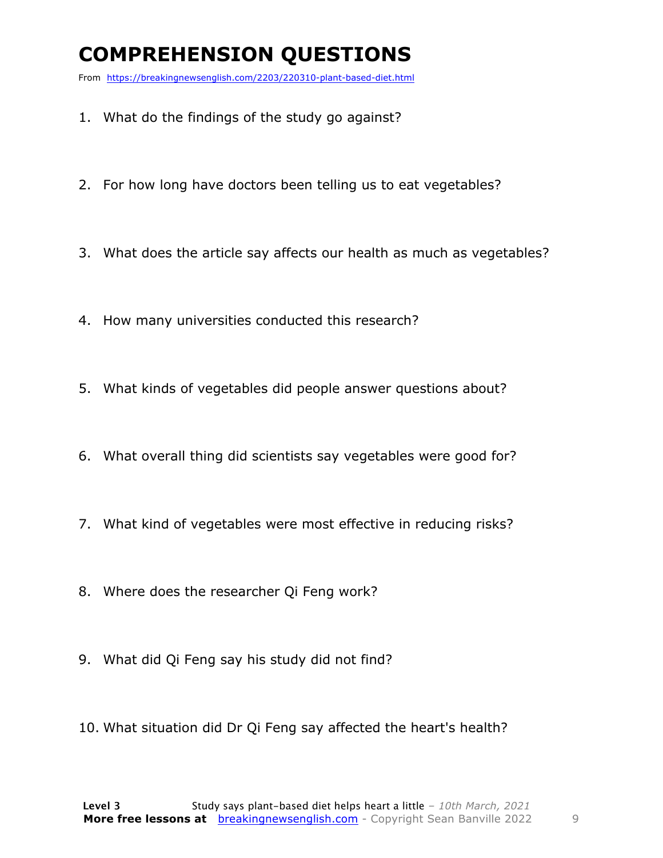### **COMPREHENSION QUESTIONS**

From https://breakingnewsenglish.com/2203/220310-plant-based-diet.html

- 1. What do the findings of the study go against?
- 2. For how long have doctors been telling us to eat vegetables?
- 3. What does the article say affects our health as much as vegetables?
- 4. How many universities conducted this research?
- 5. What kinds of vegetables did people answer questions about?
- 6. What overall thing did scientists say vegetables were good for?
- 7. What kind of vegetables were most effective in reducing risks?
- 8. Where does the researcher Qi Feng work?
- 9. What did Qi Feng say his study did not find?
- 10. What situation did Dr Qi Feng say affected the heart's health?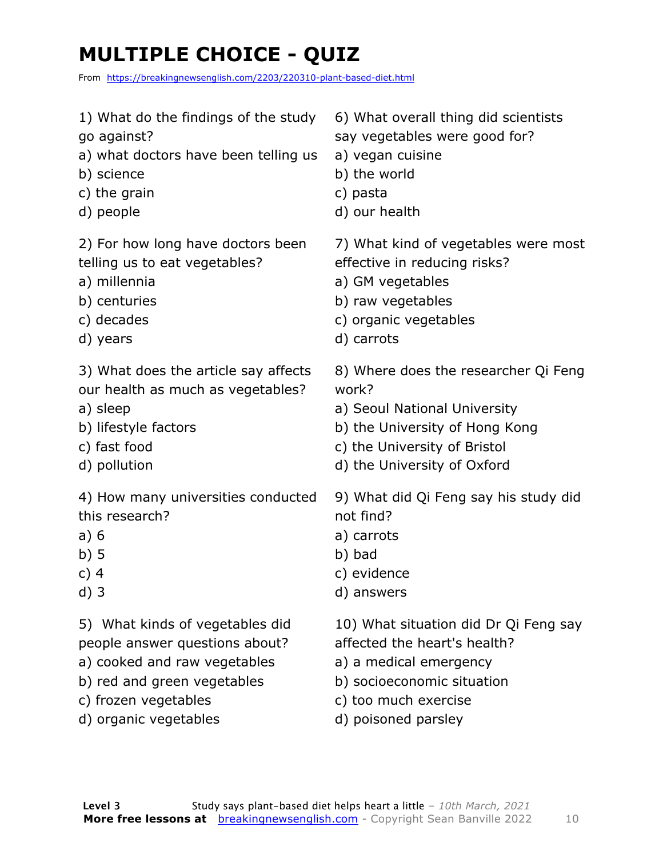### **MULTIPLE CHOICE - QUIZ**

From https://breakingnewsenglish.com/2203/220310-plant-based-diet.html

- 1) What do the findings of the study go against?
- a) what doctors have been telling us
- b) science
- c) the grain
- d) people

2) For how long have doctors been telling us to eat vegetables?

- a) millennia
- b) centuries
- c) decades
- d) years

3) What does the article say affects our health as much as vegetables?

- a) sleep
- b) lifestyle factors
- c) fast food
- d) pollution

4) How many universities conducted this research?

- a) 6
- b) 5
- c) 4
- d) 3

5) What kinds of vegetables did people answer questions about?

- a) cooked and raw vegetables
- b) red and green vegetables
- c) frozen vegetables
- d) organic vegetables
- 6) What overall thing did scientists
- say vegetables were good for?
- a) vegan cuisine
- b) the world
- c) pasta
- d) our health

7) What kind of vegetables were most effective in reducing risks?

- a) GM vegetables
- b) raw vegetables
- c) organic vegetables
- d) carrots

8) Where does the researcher Qi Feng work?

- a) Seoul National University
- b) the University of Hong Kong
- c) the University of Bristol
- d) the University of Oxford

9) What did Qi Feng say his study did not find?

- a) carrots
- b) bad
- c) evidence
- d) answers

10) What situation did Dr Qi Feng say

- affected the heart's health?
- a) a medical emergency
- b) socioeconomic situation
- c) too much exercise
- d) poisoned parsley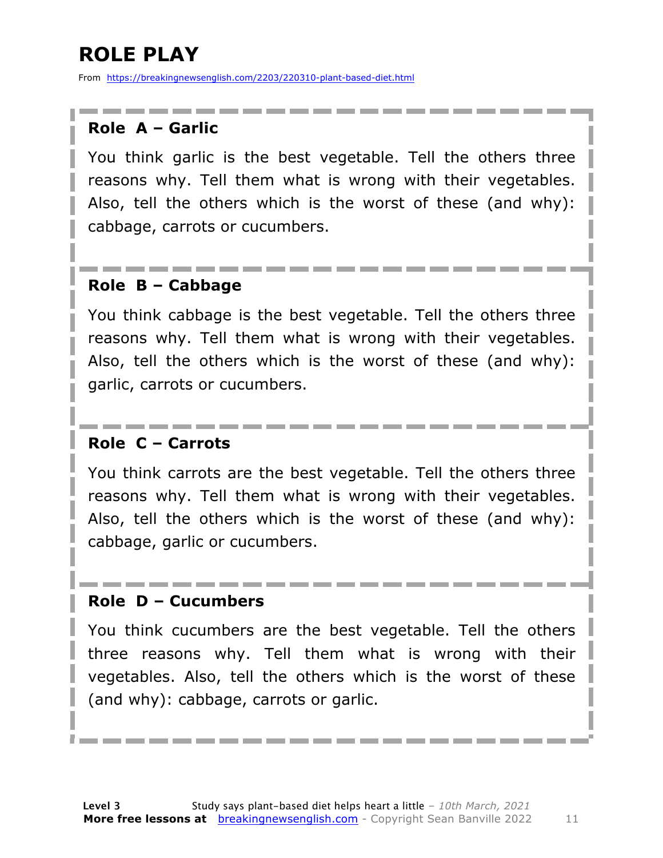### **ROLE PLAY**

From https://breakingnewsenglish.com/2203/220310-plant-based-diet.html

#### **Role A – Garlic**

You think garlic is the best vegetable. Tell the others three reasons why. Tell them what is wrong with their vegetables. Also, tell the others which is the worst of these (and why): cabbage, carrots or cucumbers.

#### **Role B – Cabbage**

You think cabbage is the best vegetable. Tell the others three reasons why. Tell them what is wrong with their vegetables. Also, tell the others which is the worst of these (and why): garlic, carrots or cucumbers.

#### **Role C – Carrots**

You think carrots are the best vegetable. Tell the others three reasons why. Tell them what is wrong with their vegetables. Also, tell the others which is the worst of these (and why): cabbage, garlic or cucumbers.

#### **Role D – Cucumbers**

You think cucumbers are the best vegetable. Tell the others three reasons why. Tell them what is wrong with their vegetables. Also, tell the others which is the worst of these (and why): cabbage, carrots or garlic.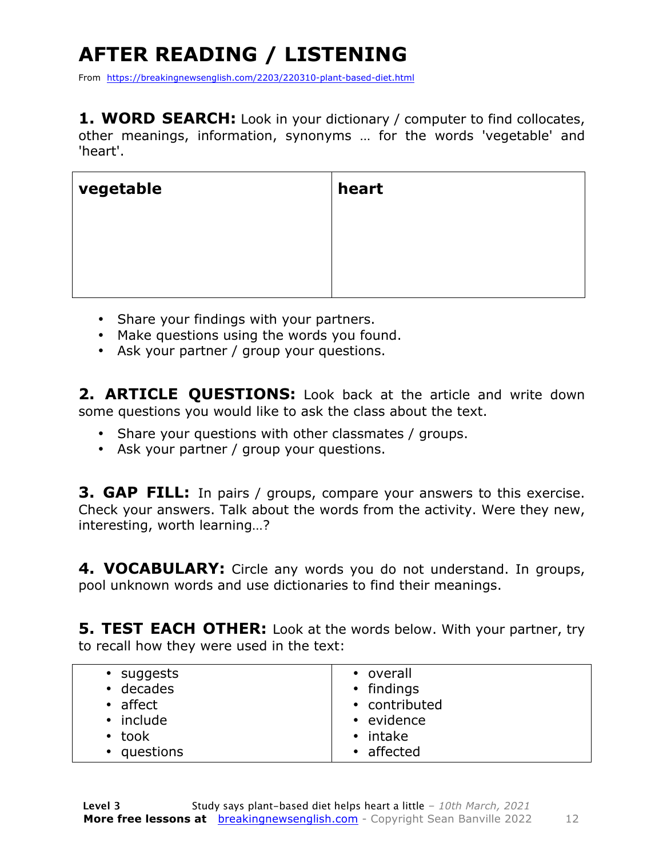## **AFTER READING / LISTENING**

From https://breakingnewsenglish.com/2203/220310-plant-based-diet.html

**1. WORD SEARCH:** Look in your dictionary / computer to find collocates, other meanings, information, synonyms … for the words 'vegetable' and 'heart'.

| vegetable | heart |
|-----------|-------|
|           |       |
|           |       |
|           |       |

- Share your findings with your partners.
- Make questions using the words you found.
- Ask your partner / group your questions.

**2. ARTICLE QUESTIONS:** Look back at the article and write down some questions you would like to ask the class about the text.

- Share your questions with other classmates / groups.
- Ask your partner / group your questions.

**3. GAP FILL:** In pairs / groups, compare your answers to this exercise. Check your answers. Talk about the words from the activity. Were they new, interesting, worth learning…?

**4. VOCABULARY:** Circle any words you do not understand. In groups, pool unknown words and use dictionaries to find their meanings.

**5. TEST EACH OTHER:** Look at the words below. With your partner, try to recall how they were used in the text:

| • suggests       | • overall      |
|------------------|----------------|
| $\cdot$ decades  | • findings     |
| $\bullet$ affect | • contributed  |
| • include        | • evidence     |
| $\cdot$ took     | $\cdot$ intake |
| • questions      | • affected     |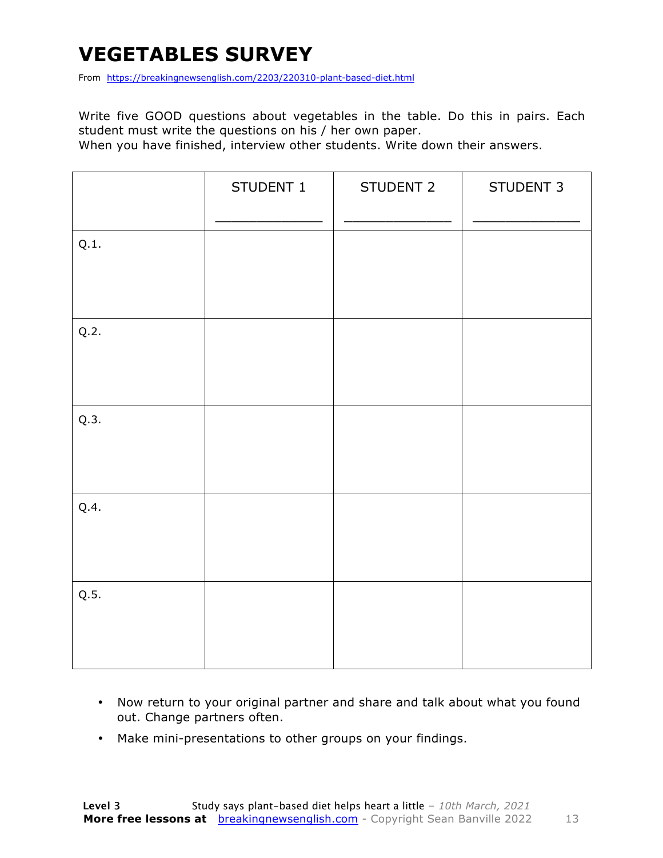### **VEGETABLES SURVEY**

From https://breakingnewsenglish.com/2203/220310-plant-based-diet.html

Write five GOOD questions about vegetables in the table. Do this in pairs. Each student must write the questions on his / her own paper.

When you have finished, interview other students. Write down their answers.

|      | STUDENT 1 | STUDENT 2 | STUDENT 3 |
|------|-----------|-----------|-----------|
| Q.1. |           |           |           |
| Q.2. |           |           |           |
| Q.3. |           |           |           |
| Q.4. |           |           |           |
| Q.5. |           |           |           |

- Now return to your original partner and share and talk about what you found out. Change partners often.
- Make mini-presentations to other groups on your findings.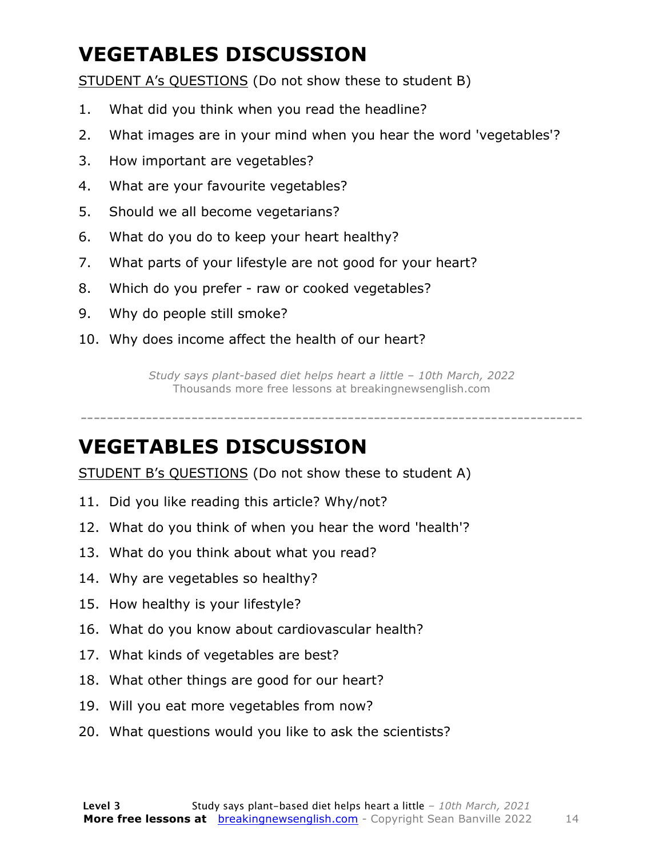### **VEGETABLES DISCUSSION**

STUDENT A's QUESTIONS (Do not show these to student B)

- 1. What did you think when you read the headline?
- 2. What images are in your mind when you hear the word 'vegetables'?
- 3. How important are vegetables?
- 4. What are your favourite vegetables?
- 5. Should we all become vegetarians?
- 6. What do you do to keep your heart healthy?
- 7. What parts of your lifestyle are not good for your heart?
- 8. Which do you prefer raw or cooked vegetables?
- 9. Why do people still smoke?
- 10. Why does income affect the health of our heart?

*Study says plant-based diet helps heart a little – 10th March, 2022* Thousands more free lessons at breakingnewsenglish.com

-----------------------------------------------------------------------------

#### **VEGETABLES DISCUSSION**

STUDENT B's QUESTIONS (Do not show these to student A)

- 11. Did you like reading this article? Why/not?
- 12. What do you think of when you hear the word 'health'?
- 13. What do you think about what you read?
- 14. Why are vegetables so healthy?
- 15. How healthy is your lifestyle?
- 16. What do you know about cardiovascular health?
- 17. What kinds of vegetables are best?
- 18. What other things are good for our heart?
- 19. Will you eat more vegetables from now?
- 20. What questions would you like to ask the scientists?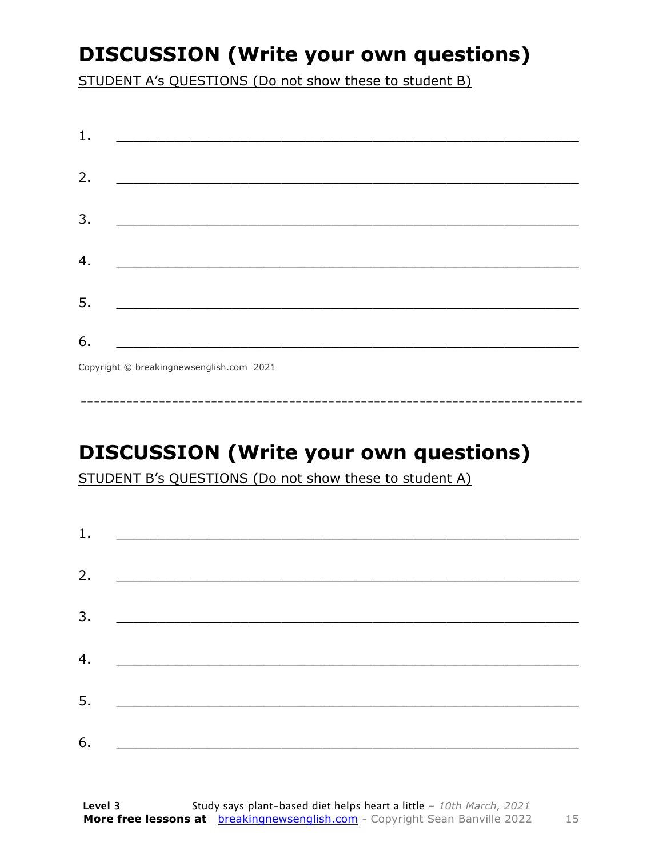### **DISCUSSION (Write your own questions)**

STUDENT A's QUESTIONS (Do not show these to student B)

| 1. |                                          |
|----|------------------------------------------|
|    |                                          |
| 2. |                                          |
|    |                                          |
| 3. |                                          |
|    |                                          |
| 4. |                                          |
|    |                                          |
| 5. |                                          |
|    |                                          |
| 6. |                                          |
|    | Copyright © breakingnewsenglish.com 2021 |

**DISCUSSION (Write your own questions)** 

STUDENT B's QUESTIONS (Do not show these to student A)

| 1. |                                                                  |  |  |
|----|------------------------------------------------------------------|--|--|
|    |                                                                  |  |  |
| 2. |                                                                  |  |  |
| 3. |                                                                  |  |  |
| 4. | <u> 1980 - Jan James James Barnett, fransk politik (d. 1980)</u> |  |  |
| 5. | <u> 1980 - Johann Stein, marwolaethau a bh</u>                   |  |  |
|    |                                                                  |  |  |
| 6. |                                                                  |  |  |

15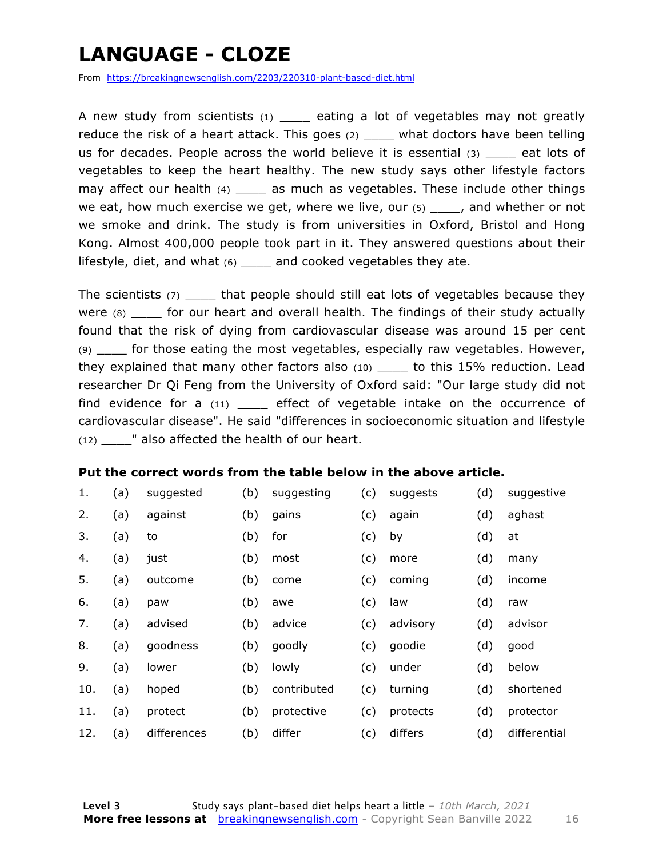### **LANGUAGE - CLOZE**

From https://breakingnewsenglish.com/2203/220310-plant-based-diet.html

A new study from scientists (1) eating a lot of vegetables may not greatly reduce the risk of a heart attack. This goes (2) \_\_\_\_ what doctors have been telling us for decades. People across the world believe it is essential  $(3)$  eat lots of vegetables to keep the heart healthy. The new study says other lifestyle factors may affect our health  $(4)$  as much as vegetables. These include other things we eat, how much exercise we get, where we live, our  $(5)$  and whether or not we smoke and drink. The study is from universities in Oxford, Bristol and Hong Kong. Almost 400,000 people took part in it. They answered questions about their lifestyle, diet, and what (6) \_\_\_\_ and cooked vegetables they ate.

The scientists (7) \_\_\_\_\_ that people should still eat lots of vegetables because they were  $(8)$  for our heart and overall health. The findings of their study actually found that the risk of dying from cardiovascular disease was around 15 per cent (9) \_\_\_\_ for those eating the most vegetables, especially raw vegetables. However, they explained that many other factors also (10) \_\_\_\_ to this 15% reduction. Lead researcher Dr Qi Feng from the University of Oxford said: "Our large study did not find evidence for a  $(11)$  \_\_\_\_ effect of vegetable intake on the occurrence of cardiovascular disease". He said "differences in socioeconomic situation and lifestyle (12) \_\_\_\_" also affected the health of our heart.

#### **Put the correct words from the table below in the above article.**

| 1.  | (a) | suggested   | (b) | suggesting  | (c) | suggests | (d) | suggestive   |
|-----|-----|-------------|-----|-------------|-----|----------|-----|--------------|
| 2.  | (a) | against     | (b) | gains       | (c) | again    | (d) | aghast       |
| 3.  | (a) | to          | (b) | for         | (c) | by       | (d) | at           |
| 4.  | (a) | just        | (b) | most        | (c) | more     | (d) | many         |
| 5.  | (a) | outcome     | (b) | come        | (c) | coming   | (d) | income       |
| 6.  | (a) | paw         | (b) | awe         | (c) | law      | (d) | raw          |
| 7.  | (a) | advised     | (b) | advice      | (c) | advisory | (d) | advisor      |
| 8.  | (a) | goodness    | (b) | goodly      | (c) | goodie   | (d) | good         |
| 9.  | (a) | lower       | (b) | lowly       | (c) | under    | (d) | below        |
| 10. | (a) | hoped       | (b) | contributed | (c) | turning  | (d) | shortened    |
| 11. | (a) | protect     | (b) | protective  | (c) | protects | (d) | protector    |
| 12. | (a) | differences | (b) | differ      | (c) | differs  | (d) | differential |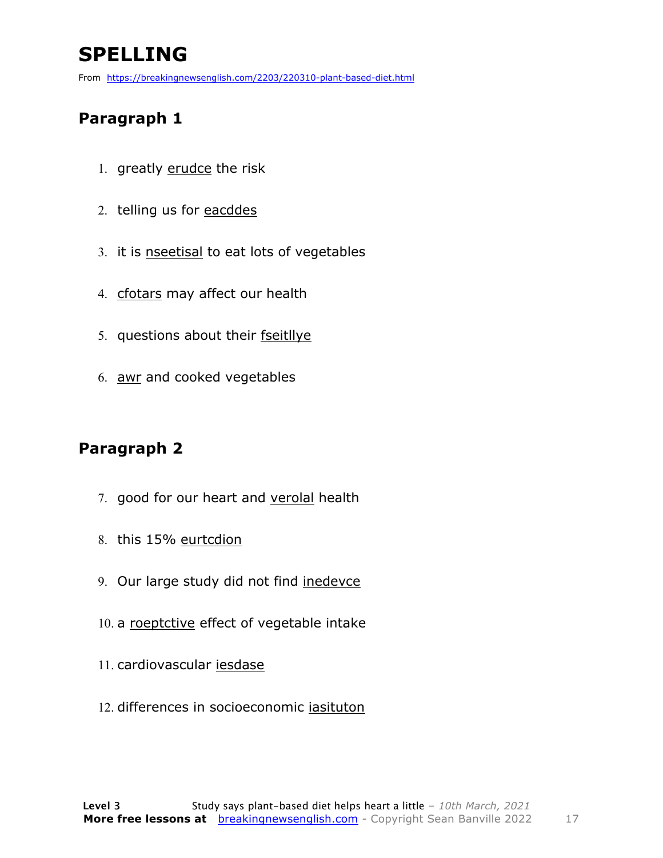### **SPELLING**

From https://breakingnewsenglish.com/2203/220310-plant-based-diet.html

#### **Paragraph 1**

- 1. greatly erudce the risk
- 2. telling us for eacddes
- 3. it is nseetisal to eat lots of vegetables
- 4. cfotars may affect our health
- 5. questions about their fseitllye
- 6. awr and cooked vegetables

#### **Paragraph 2**

- 7. good for our heart and verolal health
- 8. this 15% eurtcdion
- 9. Our large study did not find inedevce
- 10. a roeptctive effect of vegetable intake
- 11. cardiovascular iesdase
- 12. differences in socioeconomic iasituton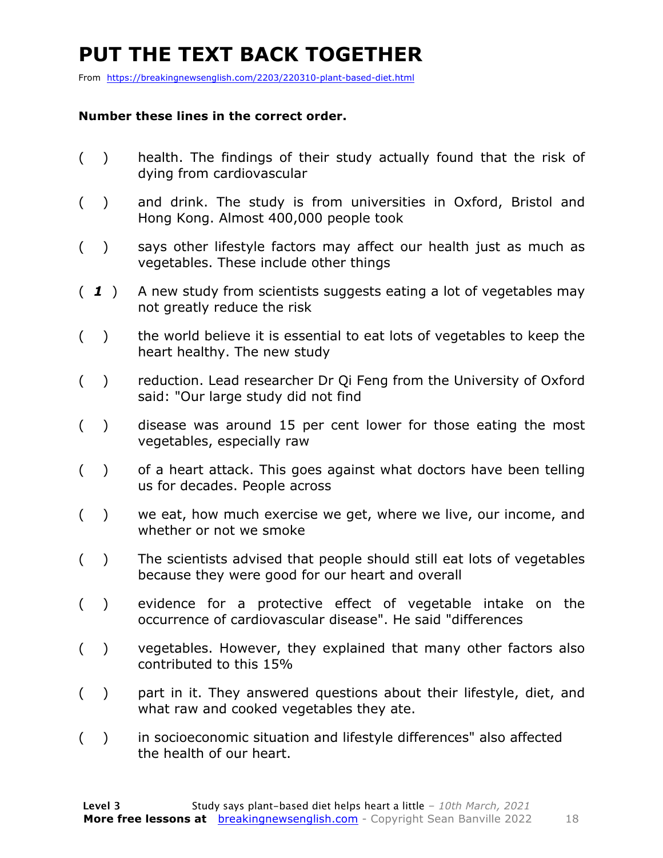### **PUT THE TEXT BACK TOGETHER**

From https://breakingnewsenglish.com/2203/220310-plant-based-diet.html

#### **Number these lines in the correct order.**

- ( ) health. The findings of their study actually found that the risk of dying from cardiovascular
- ( ) and drink. The study is from universities in Oxford, Bristol and Hong Kong. Almost 400,000 people took
- ( ) says other lifestyle factors may affect our health just as much as vegetables. These include other things
- ( *1* ) A new study from scientists suggests eating a lot of vegetables may not greatly reduce the risk
- ( ) the world believe it is essential to eat lots of vegetables to keep the heart healthy. The new study
- ( ) reduction. Lead researcher Dr Qi Feng from the University of Oxford said: "Our large study did not find
- ( ) disease was around 15 per cent lower for those eating the most vegetables, especially raw
- ( ) of a heart attack. This goes against what doctors have been telling us for decades. People across
- ( ) we eat, how much exercise we get, where we live, our income, and whether or not we smoke
- ( ) The scientists advised that people should still eat lots of vegetables because they were good for our heart and overall
- ( ) evidence for a protective effect of vegetable intake on the occurrence of cardiovascular disease". He said "differences
- ( ) vegetables. However, they explained that many other factors also contributed to this 15%
- ( ) part in it. They answered questions about their lifestyle, diet, and what raw and cooked vegetables they ate.
- ( ) in socioeconomic situation and lifestyle differences" also affected the health of our heart.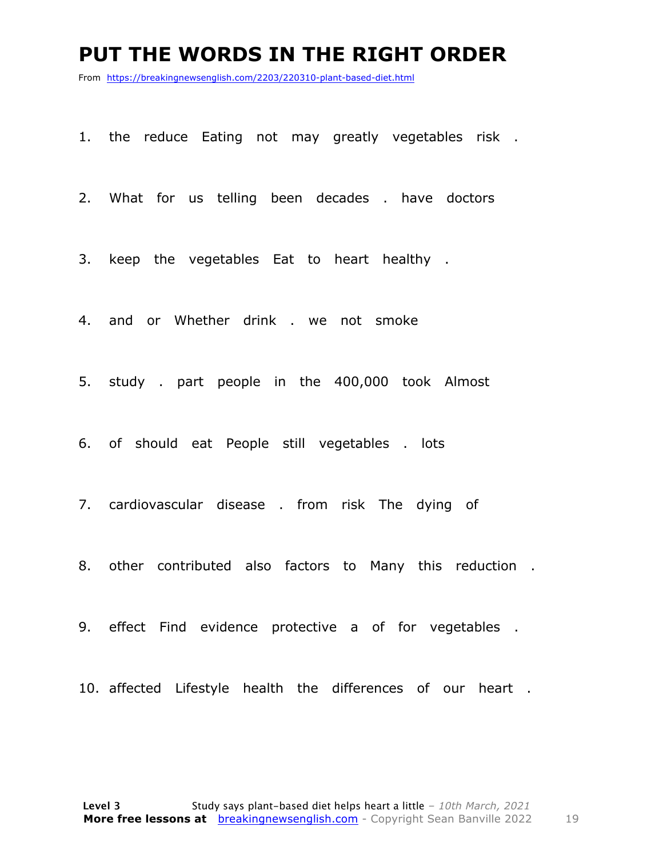#### **PUT THE WORDS IN THE RIGHT ORDER**

From https://breakingnewsenglish.com/2203/220310-plant-based-diet.html

- 1. the reduce Eating not may greatly vegetables risk .
- 2. What for us telling been decades . have doctors
- 3. keep the vegetables Eat to heart healthy .
- 4. and or Whether drink . we not smoke
- 5. study . part people in the 400,000 took Almost
- 6. of should eat People still vegetables . lots
- 7. cardiovascular disease . from risk The dying of
- 8. other contributed also factors to Many this reduction .
- 9. effect Find evidence protective a of for vegetables .
- 10. affected Lifestyle health the differences of our heart .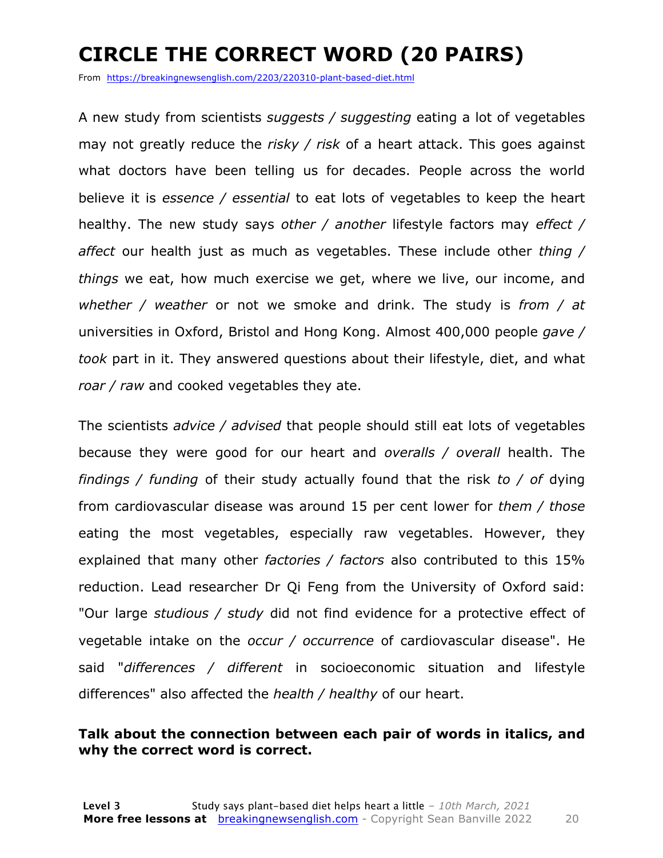### **CIRCLE THE CORRECT WORD (20 PAIRS)**

From https://breakingnewsenglish.com/2203/220310-plant-based-diet.html

A new study from scientists *suggests / suggesting* eating a lot of vegetables may not greatly reduce the *risky / risk* of a heart attack. This goes against what doctors have been telling us for decades. People across the world believe it is *essence / essential* to eat lots of vegetables to keep the heart healthy. The new study says *other / another* lifestyle factors may *effect / affect* our health just as much as vegetables. These include other *thing / things* we eat, how much exercise we get, where we live, our income, and *whether / weather* or not we smoke and drink. The study is *from / at* universities in Oxford, Bristol and Hong Kong. Almost 400,000 people *gave / took* part in it. They answered questions about their lifestyle, diet, and what *roar / raw* and cooked vegetables they ate.

The scientists *advice / advised* that people should still eat lots of vegetables because they were good for our heart and *overalls / overall* health. The *findings / funding* of their study actually found that the risk *to / of* dying from cardiovascular disease was around 15 per cent lower for *them / those* eating the most vegetables, especially raw vegetables. However, they explained that many other *factories / factors* also contributed to this 15% reduction. Lead researcher Dr Qi Feng from the University of Oxford said: "Our large *studious / study* did not find evidence for a protective effect of vegetable intake on the *occur / occurrence* of cardiovascular disease". He said "*differences / different* in socioeconomic situation and lifestyle differences" also affected the *health / healthy* of our heart.

#### **Talk about the connection between each pair of words in italics, and why the correct word is correct.**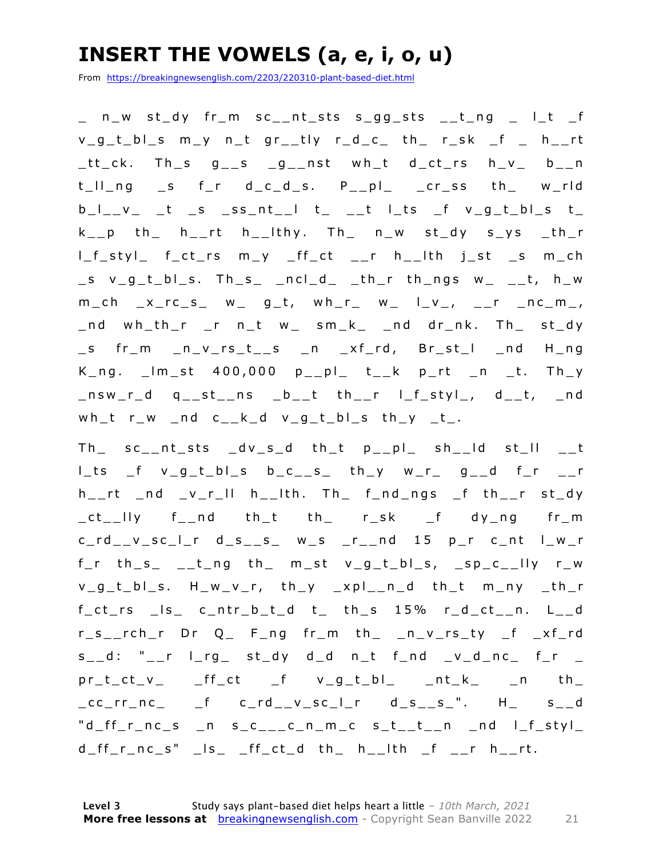### **INSERT THE VOWELS (a, e, i, o, u)**

From https://breakingnewsenglish.com/2203/220310-plant-based-diet.html

\_ n\_w st\_dy fr\_m sc\_\_nt\_sts s\_gg\_sts \_\_t\_ng \_ l\_t \_f v\_g\_t\_bl\_s m\_y n\_t gr\_\_tly r\_d\_c\_ th\_ r\_sk \_f \_ h\_\_ rt \_tt\_ck. Th\_s g\_\_s \_g\_\_nst wh\_t d\_ct\_rs h\_v\_ b\_\_n t\_ll\_ng \_s f\_r d\_c\_d\_s. P\_\_pl\_ \_cr\_ss th\_ w\_rld  $b_l$ <sub>\_</sub>v\_ \_t \_s \_ss\_nt\_\_l t\_ \_\_t l\_ts \_f v\_g\_t\_bl\_s t\_  $k_{--}p$  th h $_{-}$ rt h $_{-}$ lthy. Th $_{-}$  n $_{-}w$  st $_{-}dy$  s $_{-}ys$   $_{-}th_{-}r$  $l_f_s$ sty $l_s$  f\_ct\_rs m\_y \_ff\_ct \_\_r h\_\_lth j\_st \_s m\_ch  $\_s$  v $\_g\_t\_bl\_s$ . Th $\_s$   $\_ncl\_d$   $\_th\_r$  th $\_ngs$  w $\_$   $\_t$ , h $\_w$  $m_{c}$ ch \_x\_rc\_s\_ w\_ g\_t, wh\_r\_ w\_ l\_v\_, \_\_r \_nc\_m\_, \_nd wh\_th\_r \_r n\_t w\_ sm\_k\_ \_nd dr\_nk. Th\_ st\_dy \_s fr\_m \_n\_v\_rs\_t\_\_s \_n \_xf\_ rd, Br\_st\_l \_nd H\_ng  $K_n$ g.  $\lfloor m_{st} \rfloor$  400,000  $p_{1}p_{1}$  t<sub>i</sub>k p\_rt \_n \_t. Th\_y \_nsw\_r\_d q\_\_st\_\_ns \_b\_\_t th\_\_r l\_f\_styl\_, d\_\_t, \_nd wh\_t r\_w \_nd c\_k\_d v\_g\_t\_bl\_s th\_y \_t\_.

Th\_ sc\_\_nt\_sts \_dv\_s\_d th\_t p\_\_pl\_ sh\_\_ld st\_ll \_\_t  $l_t$ ts  $f$  v\_g\_t\_bl\_s b\_c\_\_s\_ th\_y w\_r\_ g\_\_d f\_r \_\_r  $h_{--}$ rt \_nd \_v\_r\_ll h\_\_lth. Th\_ f\_nd\_ngs \_f th\_\_r st\_dy \_ct\_\_lly f\_\_nd th\_t th\_ r\_sk \_f dy\_ng fr\_m c\_rd\_\_v\_sc\_l\_r d\_s\_\_s\_ w\_s \_r\_\_nd 15 p\_r c\_nt l\_w\_r  $f_r$  th\_s\_ \_\_t\_ng th\_ m\_st v\_g\_t\_bl\_s, \_sp\_c\_\_lly r\_w v\_g\_t\_bl\_s. H\_w\_v\_r, th\_y \_xpl\_\_n\_d th\_t m\_ny \_th\_r  $f_{ct}$ rs  $\lfloor s \rfloor$  c $\lfloor ntr_b \rfloor$ t $\lfloor d \rfloor$  t $\lfloor ntr_b \rfloor$  th $\lfloor s \rfloor$  15% r $\lfloor d \rfloor$ ct $\lfloor n \rfloor$ . L $\lfloor d \rfloor$ r\_s\_\_rch\_r Dr Q\_ F\_ng fr\_m th\_ \_n\_v\_rs\_ty \_f \_xf\_rd  $s_$  d: "\_\_r l\_rg\_ st\_dy d\_d n\_t f\_nd \_v\_d\_nc\_ f\_r \_  $pr_t(ct_v)$   $ff_ct$   $f$   $v_g_t_b]$   $nt_k$   $n$  th \_cc\_rr\_nc\_ \_f c\_rd\_\_v\_sc\_l\_r d\_s\_\_s\_". H\_ s\_\_d  $"d_ff_r_nc_s$  n s\_c\_\_\_c\_n\_m\_c s\_t\_\_t\_\_n \_nd l\_f\_styl\_  $d_{f}f_{r}$ nc\_s" \_ls\_ \_ff\_ct\_d th\_ h\_\_lth \_f \_\_r h\_\_rt.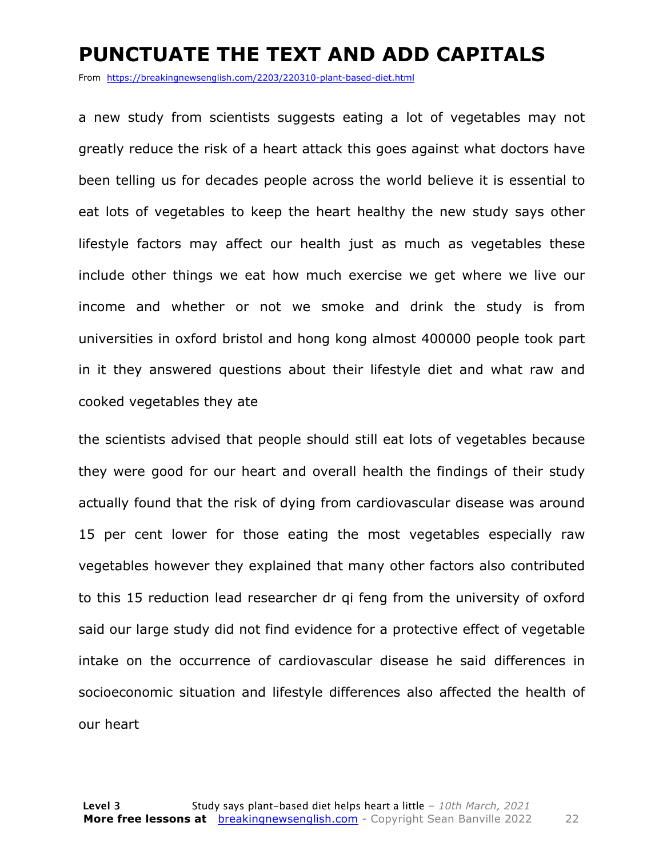#### **PUNCTUATE THE TEXT AND ADD CAPITALS**

From https://breakingnewsenglish.com/2203/220310-plant-based-diet.html

a new study from scientists suggests eating a lot of vegetables may not greatly reduce the risk of a heart attack this goes against what doctors have been telling us for decades people across the world believe it is essential to eat lots of vegetables to keep the heart healthy the new study says other lifestyle factors may affect our health just as much as vegetables these include other things we eat how much exercise we get where we live our income and whether or not we smoke and drink the study is from universities in oxford bristol and hong kong almost 400000 people took part in it they answered questions about their lifestyle diet and what raw and cooked vegetables they ate

the scientists advised that people should still eat lots of vegetables because they were good for our heart and overall health the findings of their study actually found that the risk of dying from cardiovascular disease was around 15 per cent lower for those eating the most vegetables especially raw vegetables however they explained that many other factors also contributed to this 15 reduction lead researcher dr qi feng from the university of oxford said our large study did not find evidence for a protective effect of vegetable intake on the occurrence of cardiovascular disease he said differences in socioeconomic situation and lifestyle differences also affected the health of our heart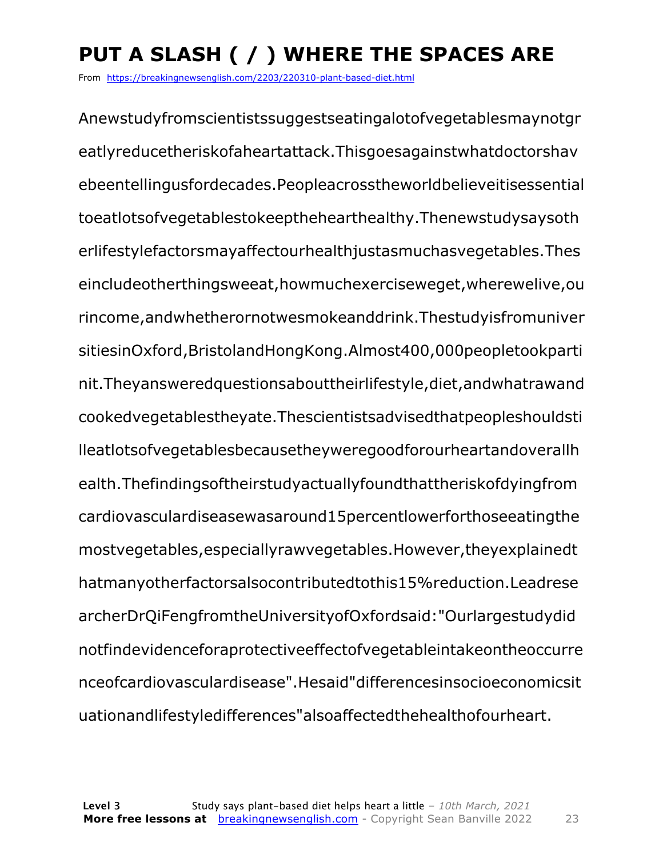### **PUT A SLASH ( / ) WHERE THE SPACES ARE**

From https://breakingnewsenglish.com/2203/220310-plant-based-diet.html

Anewstudyfromscientistssuggestseatingalotofvegetablesmaynotgr eatlyreducetheriskofaheartattack.Thisgoesagainstwhatdoctorshav ebeentellingusfordecades.Peopleacrosstheworldbelieveitisessential toeatlotsofvegetablestokeepthehearthealthy.Thenewstudysaysoth erlifestylefactorsmayaffectourhealthjustasmuchasvegetables.Thes eincludeotherthingsweeat,howmuchexerciseweget,wherewelive,ou rincome,andwhetherornotwesmokeanddrink.Thestudyisfromuniver sitiesinOxford,BristolandHongKong.Almost400,000peopletookparti nit.Theyansweredquestionsabouttheirlifestyle,diet,andwhatrawand cookedvegetablestheyate.Thescientistsadvisedthatpeopleshouldsti lleatlotsofvegetablesbecausetheyweregoodforourheartandoverallh ealth.Thefindingsoftheirstudyactuallyfoundthattheriskofdyingfrom cardiovasculardiseasewasaround15percentlowerforthoseeatingthe mostvegetables,especiallyrawvegetables.However,theyexplainedt hatmanyotherfactorsalsocontributedtothis15%reduction.Leadrese archerDrQiFengfromtheUniversityofOxfordsaid:"Ourlargestudydid notfindevidenceforaprotectiveeffectofvegetableintakeontheoccurre nceofcardiovasculardisease".Hesaid"differencesinsocioeconomicsit uationandlifestyledifferences"alsoaffectedthehealthofourheart.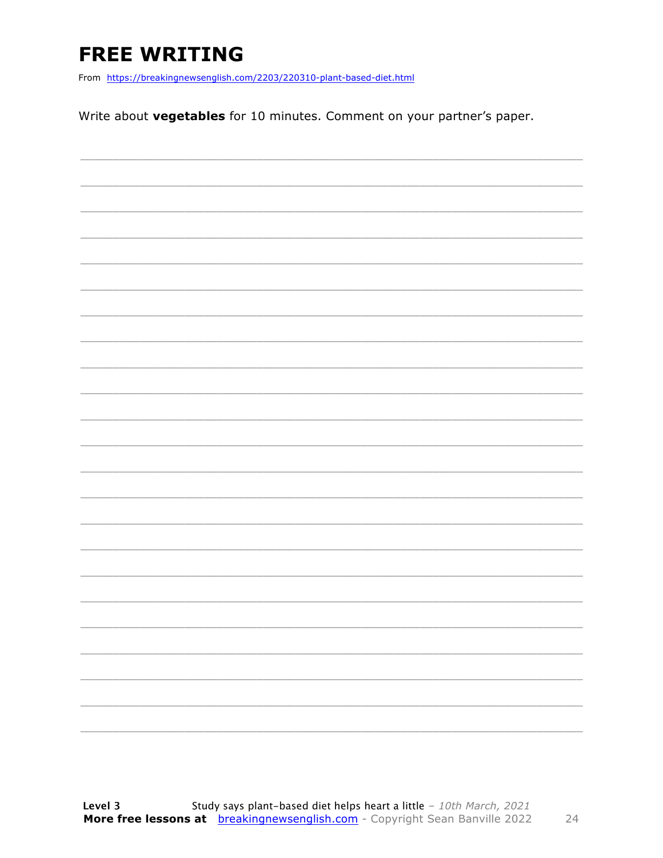### **FREE WRITING**

From https://breakingnewsenglish.com/2203/220310-plant-based-diet.html

Write about vegetables for 10 minutes. Comment on your partner's paper.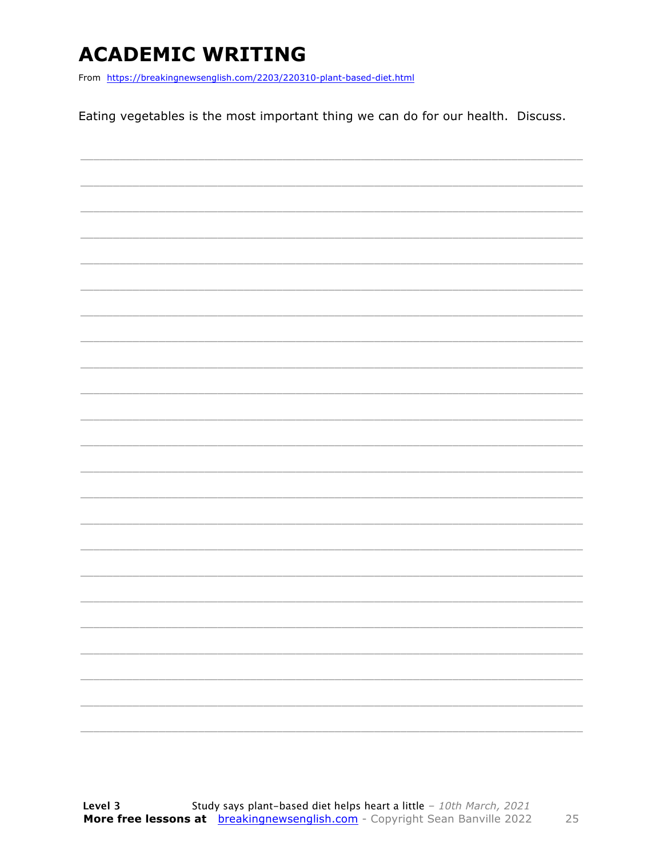### **ACADEMIC WRITING**

From https://breakingnewsenglish.com/2203/220310-plant-based-diet.html

Eating vegetables is the most important thing we can do for our health. Discuss.

|  | $\overline{\phantom{0}}$ |
|--|--------------------------|
|  |                          |
|  | -                        |
|  |                          |
|  |                          |
|  |                          |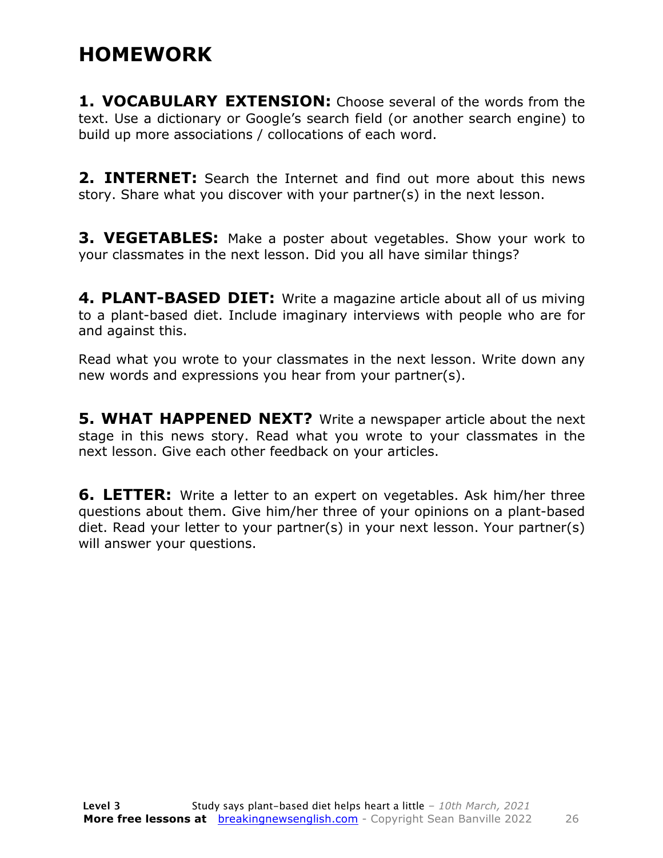### **HOMEWORK**

**1. VOCABULARY EXTENSION:** Choose several of the words from the text. Use a dictionary or Google's search field (or another search engine) to build up more associations / collocations of each word.

**2. INTERNET:** Search the Internet and find out more about this news story. Share what you discover with your partner(s) in the next lesson.

**3. VEGETABLES:** Make a poster about vegetables. Show your work to your classmates in the next lesson. Did you all have similar things?

**4. PLANT-BASED DIET:** Write a magazine article about all of us miving to a plant-based diet. Include imaginary interviews with people who are for and against this.

Read what you wrote to your classmates in the next lesson. Write down any new words and expressions you hear from your partner(s).

**5. WHAT HAPPENED NEXT?** Write a newspaper article about the next stage in this news story. Read what you wrote to your classmates in the next lesson. Give each other feedback on your articles.

**6. LETTER:** Write a letter to an expert on vegetables. Ask him/her three questions about them. Give him/her three of your opinions on a plant-based diet. Read your letter to your partner(s) in your next lesson. Your partner(s) will answer your questions.